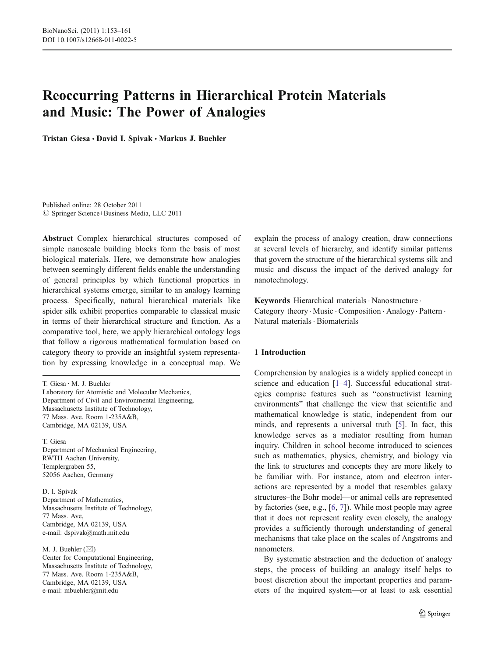# Reoccurring Patterns in Hierarchical Protein Materials and Music: The Power of Analogies

Tristan Giesa · David I. Spivak · Markus J. Buehler

Published online: 28 October 2011  $©$  Springer Science+Business Media, LLC 2011

Abstract Complex hierarchical structures composed of simple nanoscale building blocks form the basis of most biological materials. Here, we demonstrate how analogies between seemingly different fields enable the understanding of general principles by which functional properties in hierarchical systems emerge, similar to an analogy learning process. Specifically, natural hierarchical materials like spider silk exhibit properties comparable to classical music in terms of their hierarchical structure and function. As a comparative tool, here, we apply hierarchical ontology logs that follow a rigorous mathematical formulation based on category theory to provide an insightful system representation by expressing knowledge in a conceptual map. We

T. Giesa : M. J. Buehler Laboratory for Atomistic and Molecular Mechanics, Department of Civil and Environmental Engineering, Massachusetts Institute of Technology, 77 Mass. Ave. Room 1-235A&B, Cambridge, MA 02139, USA

T. Giesa Department of Mechanical Engineering, RWTH Aachen University, Templergraben 55, 52056 Aachen, Germany

D. I. Spivak Department of Mathematics, Massachusetts Institute of Technology, 77 Mass. Ave, Cambridge, MA 02139, USA e-mail: dspivak@math.mit.edu

M. J. Buehler  $(\boxtimes)$ Center for Computational Engineering, Massachusetts Institute of Technology, 77 Mass. Ave. Room 1-235A&B, Cambridge, MA 02139, USA e-mail: mbuehler@mit.edu

explain the process of analogy creation, draw connections at several levels of hierarchy, and identify similar patterns that govern the structure of the hierarchical systems silk and music and discuss the impact of the derived analogy for nanotechnology.

Keywords Hierarchical materials · Nanostructure · Category theory. Music . Composition . Analogy . Pattern . Natural materials. Biomaterials

## 1 Introduction

Comprehension by analogies is a widely applied concept in science and education [\[1](#page-6-0)–[4](#page-6-0)]. Successful educational strategies comprise features such as "constructivist learning environments" that challenge the view that scientific and mathematical knowledge is static, independent from our minds, and represents a universal truth [\[5](#page-6-0)]. In fact, this knowledge serves as a mediator resulting from human inquiry. Children in school become introduced to sciences such as mathematics, physics, chemistry, and biology via the link to structures and concepts they are more likely to be familiar with. For instance, atom and electron interactions are represented by a model that resembles galaxy structures–the Bohr model—or animal cells are represented by factories (see, e.g., [[6,](#page-6-0) [7\]](#page-7-0)). While most people may agree that it does not represent reality even closely, the analogy provides a sufficiently thorough understanding of general mechanisms that take place on the scales of Angstroms and nanometers.

By systematic abstraction and the deduction of analogy steps, the process of building an analogy itself helps to boost discretion about the important properties and parameters of the inquired system—or at least to ask essential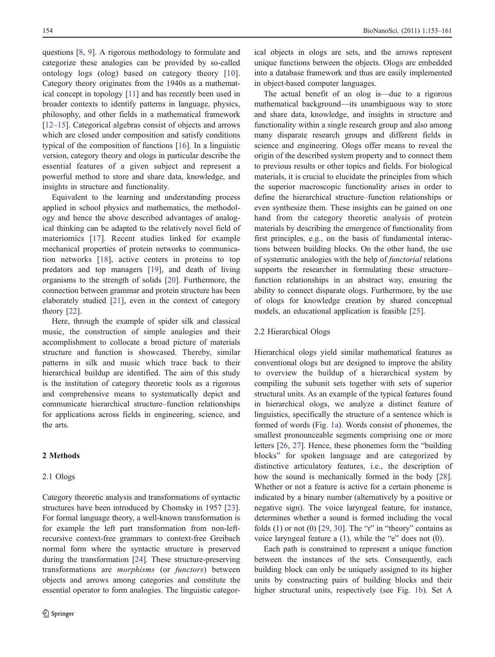questions [[8,](#page-7-0) [9\]](#page-7-0). A rigorous methodology to formulate and categorize these analogies can be provided by so-called ontology logs (olog) based on category theory [[10](#page-7-0)]. Category theory originates from the 1940s as a mathematical concept in topology [\[11\]](#page-7-0) and has recently been used in broader contexts to identify patterns in language, physics, philosophy, and other fields in a mathematical framework [\[12](#page-7-0)–[15](#page-7-0)]. Categorical algebras consist of objects and arrows which are closed under composition and satisfy conditions typical of the composition of functions [[16\]](#page-7-0). In a linguistic version, category theory and ologs in particular describe the essential features of a given subject and represent a powerful method to store and share data, knowledge, and insights in structure and functionality.

Equivalent to the learning and understanding process applied in school physics and mathematics, the methodology and hence the above described advantages of analogical thinking can be adapted to the relatively novel field of materiomics [\[17\]](#page-7-0). Recent studies linked for example mechanical properties of protein networks to communication networks [\[18](#page-7-0)], active centers in proteins to top predators and top managers [\[19](#page-7-0)], and death of living organisms to the strength of solids [[20\]](#page-7-0). Furthermore, the connection between grammar and protein structure has been elaborately studied [[21\]](#page-7-0), even in the context of category theory [[22\]](#page-7-0).

Here, through the example of spider silk and classical music, the construction of simple analogies and their accomplishment to collocate a broad picture of materials structure and function is showcased. Thereby, similar patterns in silk and music which trace back to their hierarchical buildup are identified. The aim of this study is the institution of category theoretic tools as a rigorous and comprehensive means to systematically depict and communicate hierarchical structure–function relationships for applications across fields in engineering, science, and the arts.

## 2 Methods

#### 2.1 Ologs

Category theoretic analysis and transformations of syntactic structures have been introduced by Chomsky in 1957 [\[23](#page-7-0)]. For formal language theory, a well-known transformation is for example the left part transformation from non-leftrecursive context-free grammars to context-free Greibach normal form where the syntactic structure is preserved during the transformation [\[24](#page-7-0)]. These structure-preserving transformations are morphisms (or functors) between objects and arrows among categories and constitute the essential operator to form analogies. The linguistic categor-

ical objects in ologs are sets, and the arrows represent unique functions between the objects. Ologs are embedded into a database framework and thus are easily implemented in object-based computer languages.

The actual benefit of an olog is—due to a rigorous mathematical background—its unambiguous way to store and share data, knowledge, and insights in structure and functionality within a single research group and also among many disparate research groups and different fields in science and engineering. Ologs offer means to reveal the origin of the described system property and to connect them to previous results or other topics and fields. For biological materials, it is crucial to elucidate the principles from which the superior macroscopic functionality arises in order to define the hierarchical structure–function relationships or even synthesize them. These insights can be gained on one hand from the category theoretic analysis of protein materials by describing the emergence of functionality from first principles, e.g., on the basis of fundamental interactions between building blocks. On the other hand, the use of systematic analogies with the help of functorial relations supports the researcher in formulating these structure– function relationships in an abstract way, ensuring the ability to connect disparate ologs. Furthermore, by the use of ologs for knowledge creation by shared conceptual models, an educational application is feasible [\[25](#page-7-0)].

#### 2.2 Hierarchical Ologs

Hierarchical ologs yield similar mathematical features as conventional ologs but are designed to improve the ability to overview the buildup of a hierarchical system by compiling the subunit sets together with sets of superior structural units. As an example of the typical features found in hierarchical ologs, we analyze a distinct feature of linguistics, specifically the structure of a sentence which is formed of words (Fig. [1a](#page-2-0)). Words consist of phonemes, the smallest pronounceable segments comprising one or more letters [[26,](#page-7-0) [27](#page-7-0)]. Hence, these phonemes form the "building blocks" for spoken language and are categorized by distinctive articulatory features, i.e., the description of how the sound is mechanically formed in the body [[28\]](#page-7-0). Whether or not a feature is active for a certain phoneme is indicated by a binary number (alternatively by a positive or negative sign). The voice laryngeal feature, for instance, determines whether a sound is formed including the vocal folds  $(1)$  or not  $(0)$  [[29,](#page-7-0) [30\]](#page-7-0). The "r" in "theory" contains as voice laryngeal feature a (1), while the "e" does not (0).

Each path is constrained to represent a unique function between the instances of the sets. Consequently, each building block can only be uniquely assigned to its higher units by constructing pairs of building blocks and their higher structural units, respectively (see Fig. [1b\)](#page-2-0). Set A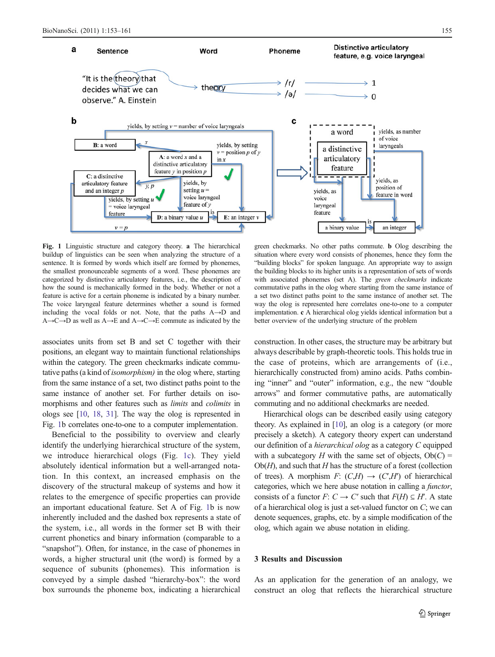<span id="page-2-0"></span>

Fig. 1 Linguistic structure and category theory. a The hierarchical buildup of linguistics can be seen when analyzing the structure of a sentence. It is formed by words which itself are formed by phonemes, the smallest pronounceable segments of a word. These phonemes are categorized by distinctive articulatory features, i.e., the description of how the sound is mechanically formed in the body. Whether or not a feature is active for a certain phoneme is indicated by a binary number. The voice laryngeal feature determines whether a sound is formed including the vocal folds or not. Note, that the paths A→D and A→C→D as well as A→E and A→C→E commute as indicated by the

associates units from set B and set C together with their positions, an elegant way to maintain functional relationships within the category. The green checkmarks indicate commutative paths (a kind of isomorphism) in the olog where, starting from the same instance of a set, two distinct paths point to the same instance of another set. For further details on isomorphisms and other features such as limits and colimits in ologs see [\[10,](#page-7-0) [18](#page-7-0), [31](#page-7-0)]. The way the olog is represented in Fig. 1b correlates one-to-one to a computer implementation.

Beneficial to the possibility to overview and clearly identify the underlying hierarchical structure of the system, we introduce hierarchical ologs (Fig. 1c). They yield absolutely identical information but a well-arranged notation. In this context, an increased emphasis on the discovery of the structural makeup of systems and how it relates to the emergence of specific properties can provide an important educational feature. Set A of Fig. 1b is now inherently included and the dashed box represents a state of the system, i.e., all words in the former set B with their current phonetics and binary information (comparable to a "snapshot"). Often, for instance, in the case of phonemes in words, a higher structural unit (the word) is formed by a sequence of subunits (phonemes). This information is conveyed by a simple dashed "hierarchy-box": the word box surrounds the phoneme box, indicating a hierarchical

green checkmarks. No other paths commute. b Olog describing the situation where every word consists of phonemes, hence they form the "building blocks" for spoken language. An appropriate way to assign the building blocks to its higher units is a representation of sets of words with associated phonemes (set A). The green checkmarks indicate commutative paths in the olog where starting from the same instance of a set two distinct paths point to the same instance of another set. The way the olog is represented here correlates one-to-one to a computer implementation. c A hierarchical olog yields identical information but a better overview of the underlying structure of the problem

construction. In other cases, the structure may be arbitrary but always describable by graph-theoretic tools. This holds true in the case of proteins, which are arrangements of (i.e., hierarchically constructed from) amino acids. Paths combining "inner" and "outer" information, e.g., the new "double arrows" and former commutative paths, are automatically commuting and no additional checkmarks are needed.

Hierarchical ologs can be described easily using category theory. As explained in [\[10\]](#page-7-0), an olog is a category (or more precisely a sketch). A category theory expert can understand our definition of a hierarchical olog as a category C equipped with a subcategory H with the same set of objects,  $Ob(C)$  =  $Ob(H)$ , and such that H has the structure of a forest (collection of trees). A morphism  $F: (C,H) \to (C',H')$  of hierarchical categories, which we here abuse notation in calling a functor, consists of a functor  $F: C \to C'$  such that  $F(H) \subseteq H'$ . A state of a hierarchical olog is just a set-valued functor on C; we can denote sequences, graphs, etc. by a simple modification of the olog, which again we abuse notation in eliding.

## 3 Results and Discussion

As an application for the generation of an analogy, we construct an olog that reflects the hierarchical structure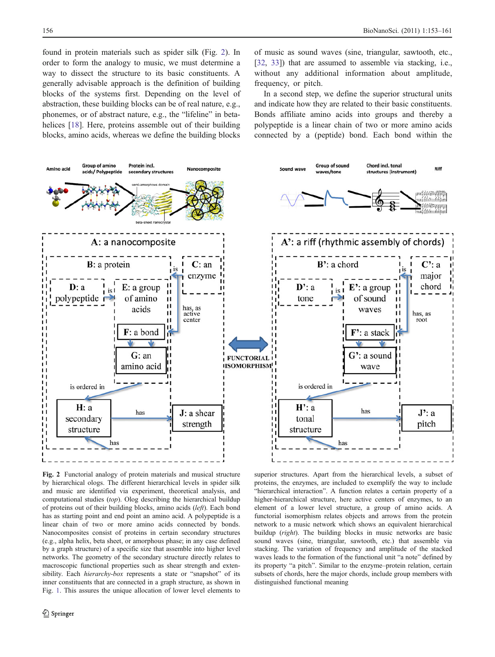<span id="page-3-0"></span>found in protein materials such as spider silk (Fig. 2). In order to form the analogy to music, we must determine a way to dissect the structure to its basic constituents. A generally advisable approach is the definition of building blocks of the systems first. Depending on the level of abstraction, these building blocks can be of real nature, e.g., phonemes, or of abstract nature, e.g., the "lifeline" in beta-helices [\[18](#page-7-0)]. Here, proteins assemble out of their building blocks, amino acids, whereas we define the building blocks of music as sound waves (sine, triangular, sawtooth, etc., [\[32](#page-7-0), [33](#page-7-0)]) that are assumed to assemble via stacking, i.e., without any additional information about amplitude, frequency, or pitch.

In a second step, we define the superior structural units and indicate how they are related to their basic constituents. Bonds affiliate amino acids into groups and thereby a polypeptide is a linear chain of two or more amino acids connected by a (peptide) bond. Each bond within the



Fig. 2 Functorial analogy of protein materials and musical structure by hierarchical ologs. The different hierarchical levels in spider silk and music are identified via experiment, theoretical analysis, and computational studies (top). Olog describing the hierarchical buildup of proteins out of their building blocks, amino acids (left). Each bond has as starting point and end point an amino acid. A polypeptide is a linear chain of two or more amino acids connected by bonds. Nanocomposites consist of proteins in certain secondary structures (e.g., alpha helix, beta sheet, or amorphous phase; in any case defined by a graph structure) of a specific size that assemble into higher level networks. The geometry of the secondary structure directly relates to macroscopic functional properties such as shear strength and extensibility. Each *hierarchy-box* represents a state or "snapshot" of its inner constituents that are connected in a graph structure, as shown in Fig. [1.](#page-2-0) This assures the unique allocation of lower level elements to

superior structures. Apart from the hierarchical levels, a subset of proteins, the enzymes, are included to exemplify the way to include "hierarchical interaction". A function relates a certain property of a higher-hierarchical structure, here active centers of enzymes, to an element of a lower level structure, a group of amino acids. A functorial isomorphism relates objects and arrows from the protein network to a music network which shows an equivalent hierarchical buildup (right). The building blocks in music networks are basic sound waves (sine, triangular, sawtooth, etc.) that assemble via stacking. The variation of frequency and amplitude of the stacked waves leads to the formation of the functional unit "a note" defined by its property "a pitch". Similar to the enzyme–protein relation, certain subsets of chords, here the major chords, include group members with distinguished functional meaning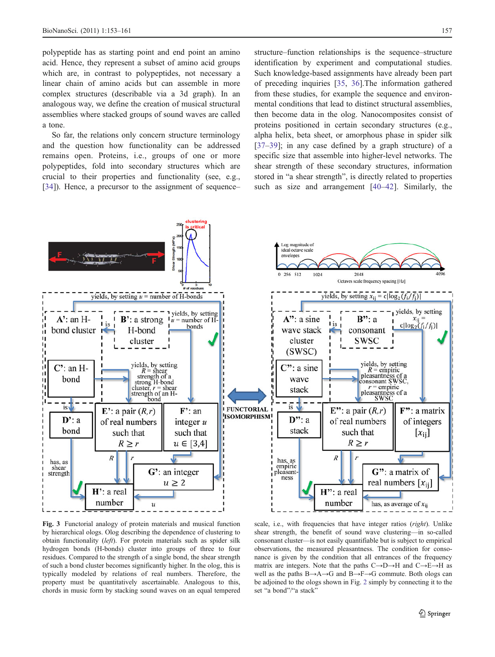<span id="page-4-0"></span>polypeptide has as starting point and end point an amino acid. Hence, they represent a subset of amino acid groups which are, in contrast to polypeptides, not necessary a linear chain of amino acids but can assemble in more complex structures (describable via a 3d graph). In an analogous way, we define the creation of musical structural assemblies where stacked groups of sound waves are called a tone.

So far, the relations only concern structure terminology and the question how functionality can be addressed remains open. Proteins, i.e., groups of one or more polypeptides, fold into secondary structures which are crucial to their properties and functionality (see, e.g., [\[34](#page-7-0)]). Hence, a precursor to the assignment of sequence–

structure–function relationships is the sequence–structure identification by experiment and computational studies. Such knowledge-based assignments have already been part of preceding inquiries [[35,](#page-7-0) [36\]](#page-7-0).The information gathered from these studies, for example the sequence and environmental conditions that lead to distinct structural assemblies, then become data in the olog. Nanocomposites consist of proteins positioned in certain secondary structures (e.g., alpha helix, beta sheet, or amorphous phase in spider silk [\[37](#page-7-0)–[39](#page-7-0)]; in any case defined by a graph structure) of a specific size that assemble into higher-level networks. The shear strength of these secondary structures, information stored in "a shear strength", is directly related to properties such as size and arrangement [[40](#page-7-0)–[42](#page-7-0)]. Similarly, the



Fig. 3 Functorial analogy of protein materials and musical function by hierarchical ologs. Olog describing the dependence of clustering to obtain functionality (left). For protein materials such as spider silk hydrogen bonds (H-bonds) cluster into groups of three to four residues. Compared to the strength of a single bond, the shear strength of such a bond cluster becomes significantly higher. In the olog, this is typically modeled by relations of real numbers. Therefore, the property must be quantitatively ascertainable. Analogous to this, chords in music form by stacking sound waves on an equal tempered

scale, i.e., with frequencies that have integer ratios (right). Unlike shear strength, the benefit of sound wave clustering—in so-called consonant cluster—is not easily quantifiable but is subject to empirical observations, the measured pleasantness. The condition for consonance is given by the condition that all entrances of the frequency matrix are integers. Note that the paths C→D→H and C→E→H as well as the paths  $B\rightarrow A\rightarrow G$  and  $B\rightarrow F\rightarrow G$  commute. Both ologs can be adjoined to the ologs shown in Fig. [2](#page-3-0) simply by connecting it to the set "a bond"/"a stack"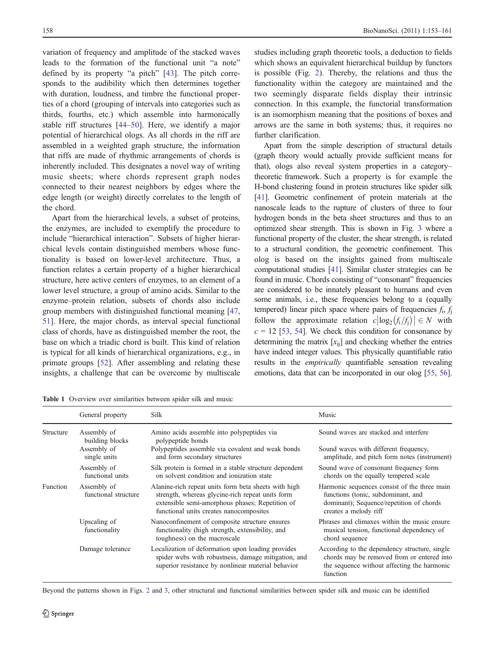<span id="page-5-0"></span>variation of frequency and amplitude of the stacked waves leads to the formation of the functional unit "a note" defined by its property "a pitch" [[43\]](#page-7-0). The pitch corresponds to the audibility which then determines together with duration, loudness, and timbre the functional properties of a chord (grouping of intervals into categories such as thirds, fourths, etc.) which assemble into harmonically stable riff structures [[44](#page-7-0)–[50\]](#page-7-0). Here, we identify a major potential of hierarchical ologs. As all chords in the riff are assembled in a weighted graph structure, the information that riffs are made of rhythmic arrangements of chords is inherently included. This designates a novel way of writing music sheets; where chords represent graph nodes connected to their nearest neighbors by edges where the edge length (or weight) directly correlates to the length of the chord.

Apart from the hierarchical levels, a subset of proteins, the enzymes, are included to exemplify the procedure to include "hierarchical interaction". Subsets of higher hierarchical levels contain distinguished members whose functionality is based on lower-level architecture. Thus, a function relates a certain property of a higher hierarchical structure, here active centers of enzymes, to an element of a lower level structure, a group of amino acids. Similar to the enzyme–protein relation, subsets of chords also include group members with distinguished functional meaning [[47,](#page-7-0) [51](#page-7-0)]. Here, the major chords, as interval special functional class of chords, have as distinguished member the root, the base on which a triadic chord is built. This kind of relation is typical for all kinds of hierarchical organizations, e.g., in primate groups [[52\]](#page-7-0). After assembling and relating these insights, a challenge that can be overcome by multiscale studies including graph theoretic tools, a deduction to fields which shows an equivalent hierarchical buildup by functors is possible (Fig. [2](#page-3-0)). Thereby, the relations and thus the functionality within the category are maintained and the two seemingly disparate fields display their intrinsic connection. In this example, the functorial transformation is an isomorphism meaning that the positions of boxes and arrows are the same in both systems; thus, it requires no further clarification.

Apart from the simple description of structural details (graph theory would actually provide sufficient means for that), ologs also reveal system properties in a category– theoretic framework. Such a property is for example the H-bond clustering found in protein structures like spider silk [\[41\]](#page-7-0). Geometric confinement of protein materials at the nanoscale leads to the rupture of clusters of three to four hydrogen bonds in the beta sheet structures and thus to an optimized shear strength. This is shown in Fig. [3](#page-4-0) where a functional property of the cluster, the shear strength, is related to a structural condition, the geometric confinement. This olog is based on the insights gained from multiscale computational studies [\[41\]](#page-7-0). Similar cluster strategies can be found in music. Chords consisting of "consonant" frequencies are considered to be innately pleasant to humans and even some animals, i.e., these frequencies belong to a (equally tempered) linear pitch space where pairs of frequencies  $f_i$ ,  $f_i$ follow the approximate relation  $c |\log_2(f_i/f_j)| \in N$  with  $c = 12$  [\[53,](#page-7-0) [54](#page-7-0)]. We check this condition for consonance by determining the matrix  $[x_{ii}]$  and checking whether the entries have indeed integer values. This physically quantifiable ratio results in the empirically quantifiable sensation revealing emotions, data that can be incorporated in our olog [[55](#page-8-0), [56\]](#page-8-0).

Table 1 Overview over similarities between spider silk and music

|           | General property                    | Silk                                                                                                                                                                                                   | Music                                                                                                                                                   |
|-----------|-------------------------------------|--------------------------------------------------------------------------------------------------------------------------------------------------------------------------------------------------------|---------------------------------------------------------------------------------------------------------------------------------------------------------|
| Structure | Assembly of<br>building blocks      | Amino acids assemble into polypeptides via<br>polypeptide bonds                                                                                                                                        | Sound waves are stacked and interfere                                                                                                                   |
|           | Assembly of<br>single units         | Polypeptides assemble via covalent and weak bonds<br>and form secondary structures                                                                                                                     | Sound waves with different frequency,<br>amplitude, and pitch form notes (instrument)                                                                   |
|           | Assembly of<br>functional units     | Silk protein is formed in a stable structure dependent<br>on solvent condition and ionization state                                                                                                    | Sound wave of consonant frequency form<br>chords on the equally tempered scale                                                                          |
| Function  | Assembly of<br>functional structure | Alanine-rich repeat units form beta sheets with high<br>strength, whereas glycine-rich repeat units form<br>extensible semi-amorphous phases; Repetition of<br>functional units creates nanocomposites | Harmonic sequences consist of the three main<br>functions (tonic, subdominant, and<br>dominant); Sequence/repetition of chords<br>creates a melody riff |
|           | Upscaling of<br>functionality       | Nanoconfinement of composite structure ensures<br>functionality (high strength, extensibility, and<br>toughness) on the macroscale                                                                     | Phrases and climaxes within the music ensure<br>musical tension, functional dependency of<br>chord sequence                                             |
|           | Damage tolerance                    | Localization of deformation upon loading provides<br>spider webs with robustness, damage mitigation, and<br>superior resistance by nonlinear material behavior                                         | According to the dependency structure, single<br>chords may be removed from or entered into<br>the sequence without affecting the harmonic<br>function  |

Beyond the patterns shown in Figs. [2](#page-3-0) and [3](#page-4-0), other structural and functional similarities between spider silk and music can be identified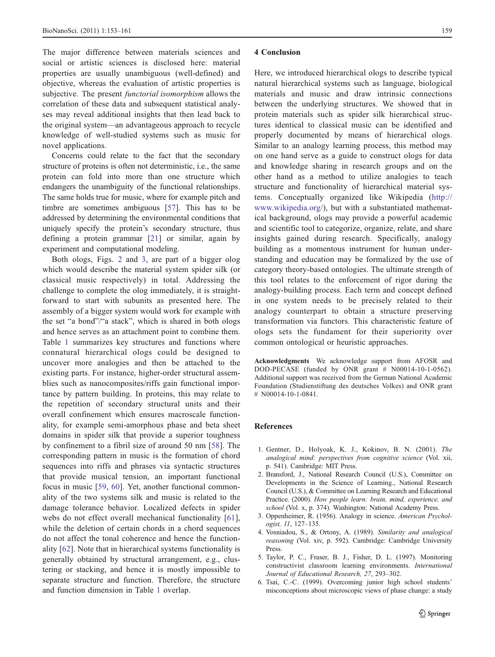<span id="page-6-0"></span>The major difference between materials sciences and social or artistic sciences is disclosed here: material properties are usually unambiguous (well-defined) and objective, whereas the evaluation of artistic properties is subjective. The present functorial isomorphism allows the correlation of these data and subsequent statistical analyses may reveal additional insights that then lead back to the original system—an advantageous approach to recycle knowledge of well-studied systems such as music for novel applications.

Concerns could relate to the fact that the secondary structure of proteins is often not deterministic, i.e., the same protein can fold into more than one structure which endangers the unambiguity of the functional relationships. The same holds true for music, where for example pitch and timbre are sometimes ambiguous [[57\]](#page-8-0). This has to be addressed by determining the environmental conditions that uniquely specify the protein's secondary structure, thus defining a protein grammar [[21](#page-7-0)] or similar, again by experiment and computational modeling.

Both ologs, Figs. [2](#page-3-0) and [3,](#page-4-0) are part of a bigger olog which would describe the material system spider silk (or classical music respectively) in total. Addressing the challenge to complete the olog immediately, it is straightforward to start with subunits as presented here. The assembly of a bigger system would work for example with the set "a bond"/"a stack", which is shared in both ologs and hence serves as an attachment point to combine them. Table [1](#page-5-0) summarizes key structures and functions where connatural hierarchical ologs could be designed to uncover more analogies and then be attached to the existing parts. For instance, higher-order structural assemblies such as nanocomposites/riffs gain functional importance by pattern building. In proteins, this may relate to the repetition of secondary structural units and their overall confinement which ensures macroscale functionality, for example semi-amorphous phase and beta sheet domains in spider silk that provide a superior toughness by confinement to a fibril size of around 50 nm [\[58](#page-8-0)]. The corresponding pattern in music is the formation of chord sequences into riffs and phrases via syntactic structures that provide musical tension, an important functional focus in music [[59](#page-8-0), [60](#page-8-0)]. Yet, another functional commonality of the two systems silk and music is related to the damage tolerance behavior. Localized defects in spider webs do not effect overall mechanical functionality [\[61](#page-8-0)], while the deletion of certain chords in a chord sequences do not affect the tonal coherence and hence the functionality [[62\]](#page-8-0). Note that in hierarchical systems functionality is generally obtained by structural arrangement, e.g., clustering or stacking, and hence it is mostly impossible to separate structure and function. Therefore, the structure and function dimension in Table [1](#page-5-0) overlap.

#### 4 Conclusion

Here, we introduced hierarchical ologs to describe typical natural hierarchical systems such as language, biological materials and music and draw intrinsic connections between the underlying structures. We showed that in protein materials such as spider silk hierarchical structures identical to classical music can be identified and properly documented by means of hierarchical ologs. Similar to an analogy learning process, this method may on one hand serve as a guide to construct ologs for data and knowledge sharing in research groups and on the other hand as a method to utilize analogies to teach structure and functionality of hierarchical material systems. Conceptually organized like Wikipedia ([http://](http://www.wikipedia.org/) [www.wikipedia.org/\)](http://www.wikipedia.org/), but with a substantiated mathematical background, ologs may provide a powerful academic and scientific tool to categorize, organize, relate, and share insights gained during research. Specifically, analogy building as a momentous instrument for human understanding and education may be formalized by the use of category theory-based ontologies. The ultimate strength of this tool relates to the enforcement of rigor during the analogy-building process. Each term and concept defined in one system needs to be precisely related to their analogy counterpart to obtain a structure preserving transformation via functors. This characteristic feature of ologs sets the fundament for their superiority over common ontological or heuristic approaches.

Acknowledgments We acknowledge support from AFOSR and DOD-PECASE (funded by ONR grant # N00014-10-1-0562). Additional support was received from the German National Academic Foundation (Studienstiftung des deutsches Volkes) and ONR grant # N00014-10-1-0841.

### References

- 1. Gentner, D., Holyoak, K. J., Kokinov, B. N. (2001). The analogical mind: perspectives from cognitive science (Vol. xii, p. 541). Cambridge: MIT Press.
- 2. Bransford, J., National Research Council (U.S.), Committee on Developments in the Science of Learning., National Research Council (U.S.), & Committee on Learning Research and Educational Practice. (2000). How people learn: brain, mind, experience, and school (Vol. x, p. 374). Washington: National Academy Press.
- 3. Oppenheimer, R. (1956). Analogy in science. American Psychologist, 11, 127–135.
- 4. Vosniadou, S., & Ortony, A. (1989). Similarity and analogical reasoning (Vol. xiv, p. 592). Cambridge: Cambridge University Press.
- 5. Taylor, P. C., Fraser, B. J., Fisher, D. L. (1997). Monitoring constructivist classroom learning environments. International Journal of Educational Research, 27, 293–302.
- 6. Tsai, C.-C. (1999). Overcoming junior high school students' misconceptions about microscopic views of phase change: a study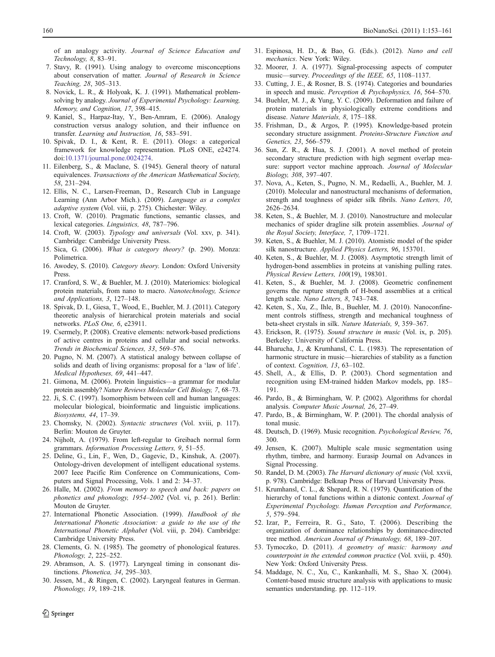<span id="page-7-0"></span>of an analogy activity. Journal of Science Education and Technology, 8, 83–91.

- 7. Stavy, R. (1991). Using analogy to overcome misconceptions about conservation of matter. Journal of Research in Science Teaching, 28, 305–313.
- 8. Novick, L. R., & Holyoak, K. J. (1991). Mathematical problemsolving by analogy. Journal of Experimental Psychology: Learning, Memory, and Cognition, 17, 398–415.
- 9. Kaniel, S., Harpaz-Itay, Y., Ben-Amram, E. (2006). Analogy construction versus analogy solution, and their influence on transfer. Learning and Instruction, 16, 583–591.
- 10. Spivak, D. I., & Kent, R. E. (2011). Ologs: a categorical framework for knowledge representation. PLoS ONE, e24274. doi[:10.1371/journal.pone.0024274.](http://dx.doi.org/10.1371/journal.pone.0024274)
- 11. Eilenberg, S., & Maclane, S. (1945). General theory of natural equivalences. Transactions of the American Mathematical Society, 58, 231–294.
- 12. Ellis, N. C., Larsen-Freeman, D., Research Club in Language Learning (Ann Arbor Mich.). (2009). Language as a complex adaptive system (Vol. viii, p. 275). Chichester: Wiley.
- 13. Croft, W. (2010). Pragmatic functions, semantic classes, and lexical categories. Linguistics, 48, 787–796.
- 14. Croft, W. (2003). Typology and universals (Vol. xxv, p. 341). Cambridge: Cambridge University Press.
- 15. Sica, G. (2006). What is category theory? (p. 290). Monza: Polimetrica.
- 16. Awodey, S. (2010). Category theory. London: Oxford University Press.
- 17. Cranford, S. W., & Buehler, M. J. (2010). Materiomics: biological protein materials, from nano to macro. Nanotechnology, Science and Applications, 3, 127–148.
- 18. Spivak, D. I., Giesa, T., Wood, E., Buehler, M. J. (2011). Category theoretic analysis of hierarchical protein materials and social networks. PLoS One, 6, e23911.
- 19. Csermely, P. (2008). Creative elements: network-based predictions of active centres in proteins and cellular and social networks. Trends in Biochemical Sciences, 33, 569–576.
- 20. Pugno, N. M. (2007). A statistical analogy between collapse of solids and death of living organisms: proposal for a 'law of life'. Medical Hypotheses, 69, 441–447.
- 21. Gimona, M. (2006). Protein linguistics—a grammar for modular protein assembly? Nature Reviews Molecular Cell Biology, 7, 68–73.
- 22. Ji, S. C. (1997). Isomorphism between cell and human languages: molecular biological, bioinformatic and linguistic implications. Biosystems, 44, 17–39.
- 23. Chomsky, N. (2002). Syntactic structures (Vol. xviii, p. 117). Berlin: Mouton de Gruyter.
- 24. Nijholt, A. (1979). From left-regular to Greibach normal form grammars. Information Processing Letters, 9, 51–55.
- 25. Deline, G., Lin, F., Wen, D., Gagevic, D., Kinshuk, A. (2007). Ontology-driven development of intelligent educational systems. 2007 Ieee Pacific Rim Conference on Communications, Computers and Signal Processing, Vols. 1 and 2: 34–37.
- 26. Halle, M. (2002). From memory to speech and back: papers on phonetics and phonology, 1954–2002 (Vol. vi, p. 261). Berlin: Mouton de Gruyter.
- 27. International Phonetic Association. (1999). Handbook of the International Phonetic Association: a guide to the use of the International Phonetic Alphabet (Vol. viii, p. 204). Cambridge: Cambridge University Press.
- 28. Clements, G. N. (1985). The geometry of phonological features. Phonology, 2, 225–252.
- 29. Abramson, A. S. (1977). Laryngeal timing in consonant distinctions. Phonetica, 34, 295–303.
- 30. Jessen, M., & Ringen, C. (2002). Laryngeal features in German. Phonology, 19, 189–218.
- 31. Espinosa, H. D., & Bao, G. (Eds.). (2012). Nano and cell mechanics. New York: Wiley.
- 32. Moorer, J. A. (1977). Signal-processing aspects of computer music—survey. Proceedings of the IEEE, 65, 1108–1137.
- 33. Cutting, J. E., & Rosner, B. S. (1974). Categories and boundaries in speech and music. Perception & Psychophysics, 16, 564–570.
- 34. Buehler, M. J., & Yung, Y. C. (2009). Deformation and failure of protein materials in physiologically extreme conditions and disease. Nature Materials, 8, 175–188.
- 35. Frishman, D., & Argos, P. (1995). Knowledge-based protein secondary structure assignment. Proteins-Structure Function and Genetics, 23, 566–579.
- 36. Sun, Z. R., & Hua, S. J. (2001). A novel method of protein secondary structure prediction with high segment overlap measure: support vector machine approach. Journal of Molecular Biology, 308, 397–407.
- 37. Nova, A., Keten, S., Pugno, N. M., Redaelli, A., Buehler, M. J. (2010). Molecular and nanostructural mechanisms of deformation, strength and toughness of spider silk fibrils. Nano Letters, 10, 2626–2634.
- 38. Keten, S., & Buehler, M. J. (2010). Nanostructure and molecular mechanics of spider dragline silk protein assemblies. Journal of the Royal Society, Interface, 7, 1709–1721.
- 39. Keten, S., & Buehler, M. J. (2010). Atomistic model of the spider silk nanostructure. Applied Physics Letters, 96, 153701.
- 40. Keten, S., & Buehler, M. J. (2008). Asymptotic strength limit of hydrogen-bond assemblies in proteins at vanishing pulling rates. Physical Review Letters, 100(19), 198301.
- 41. Keten, S., & Buehler, M. J. (2008). Geometric confinement governs the rupture strength of H-bond assemblies at a critical length scale. Nano Letters, 8, 743–748.
- 42. Keten, S., Xu, Z., Ihle, B., Buehler, M. J. (2010). Nanoconfinement controls stiffness, strength and mechanical toughness of beta-sheet crystals in silk. Nature Materials, 9, 359–367.
- 43. Erickson, R. (1975). Sound structure in music (Vol. ix, p. 205). Berkeley: University of California Press.
- 44. Bharucha, J., & Krumhansl, C. L. (1983). The representation of harmonic structure in music—hierarchies of stability as a function of context. Cognition, 13, 63–102.
- 45. Shell, A., & Ellis, D. P. (2003). Chord segmentation and recognition using EM-trained hidden Markov models, pp. 185– 191.
- 46. Pardo, B., & Birmingham, W. P. (2002). Algorithms for chordal analysis. Computer Music Journal, 26, 27–49.
- 47. Pardo, B., & Birmingham, W. P. (2001). The chordal analysis of tonal music.
- 48. Deutsch, D. (1969). Music recognition. Psychological Review, 76, 300.
- 49. Jensen, K. (2007). Multiple scale music segmentation using rhythm, timbre, and harmony. Eurasip Journal on Advances in Signal Processing.
- 50. Randel, D. M. (2003). The Harvard dictionary of music (Vol. xxvii, p. 978). Cambridge: Belknap Press of Harvard University Press.
- 51. Krumhansl, C. L., & Shepard, R. N. (1979). Quantification of the hierarchy of tonal functions within a diatonic context. Journal of Experimental Psychology. Human Perception and Performance, 5, 579–594.
- 52. Izar, P., Ferreira, R. G., Sato, T. (2006). Describing the organization of dominance relationships by dominance-directed tree method. American Journal of Primatology, 68, 189–207.
- 53. Tymoczko, D. (2011). A geometry of music: harmony and counterpoint in the extended common practice (Vol. xviii, p. 450). New York: Oxford University Press.
- 54. Maddage, N. C., Xu, C., Kankanhalli, M. S., Shao X. (2004). Content-based music structure analysis with applications to music semantics understanding. pp. 112–119.